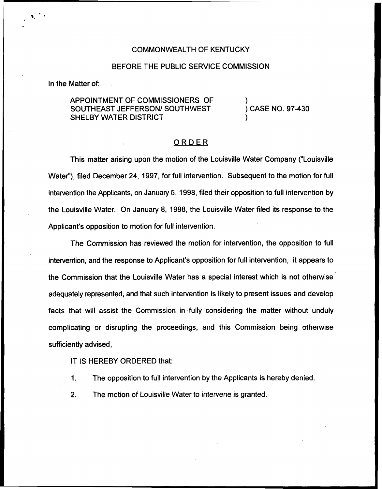## COMMONWEALTH OF KENTUCKY

## BEFORE THE PUBLIC SERVICE COMMISSION

In the Matter of:

## APPOINTMENT OF COMMISSIONERS OF SOUTHEAST JEFFERSON/ SOUTHWEST SHELBY WATER DISTRICT

) ) CASE NO. 97-430

)

## ORDER

This matter arising upon the motion of the Louisville Water Company ("Louisville Water"), filed December 24, 1997, for full intervention. Subsequent to the motion for full intervention the Applicants, on January 5, 1998, filed their opposition to full intervention by the Louisville Water. On January 8, 1998, the Louisville Water filed its response to the Applicant's opposition to motion for full intervention.

The Commission has reviewed the motion for intervention, the opposition to full intervention, and the response to Applicant's opposition for full intervention, it appears to the Commission that the Louisville Water has a special interest which is not otherwise adequately represented, and that such intervention is likely to present issues and develop facts that will assist the Commission in fully considering the matter without unduly complicating or disrupting the proceedings, and this Commission being otherwise sufficiently advised,

IT IS HEREBY ORDERED that:

- 1. The opposition to full intervention by the Applicants is hereby denied.
- 2. The motion of Louisville Water to intervene is granted.